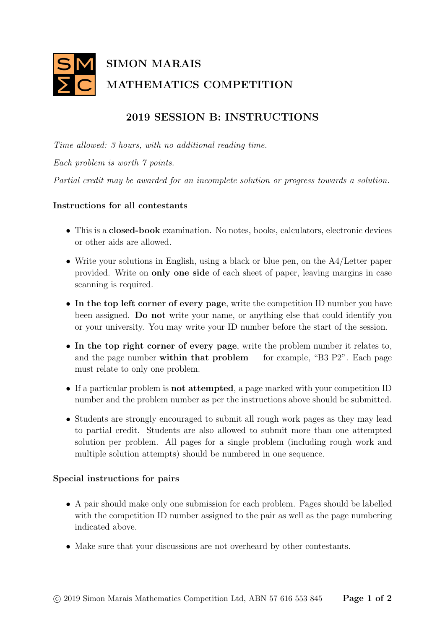

## 2019 SESSION B: INSTRUCTIONS

Time allowed: 3 hours, with no additional reading time. Each problem is worth 7 points. Partial credit may be awarded for an incomplete solution or progress towards a solution.

## Instructions for all contestants

- This is a closed-book examination. No notes, books, calculators, electronic devices or other aids are allowed.
- Write your solutions in English, using a black or blue pen, on the A4/Letter paper provided. Write on only one side of each sheet of paper, leaving margins in case scanning is required.
- In the top left corner of every page, write the competition ID number you have been assigned. Do not write your name, or anything else that could identify you or your university. You may write your ID number before the start of the session.
- In the top right corner of every page, write the problem number it relates to, and the page number within that  $problem$  — for example, "B3 P2". Each page must relate to only one problem.
- If a particular problem is not attempted, a page marked with your competition ID number and the problem number as per the instructions above should be submitted.
- Students are strongly encouraged to submit all rough work pages as they may lead to partial credit. Students are also allowed to submit more than one attempted solution per problem. All pages for a single problem (including rough work and multiple solution attempts) should be numbered in one sequence.

## Special instructions for pairs

- A pair should make only one submission for each problem. Pages should be labelled with the competition ID number assigned to the pair as well as the page numbering indicated above.
- Make sure that your discussions are not overheard by other contestants.